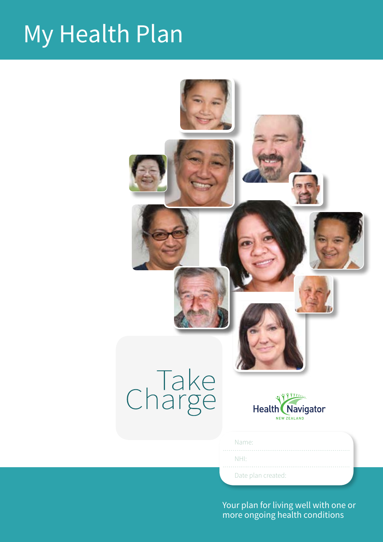### My Health Plan



1 Your plan for living well with one or more ongoing health conditions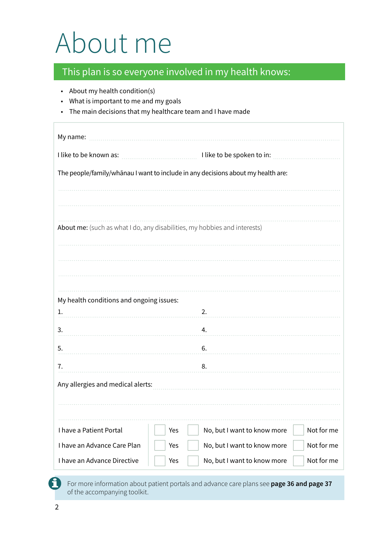### About me

• About my health condition(s)

#### This plan is so everyone involved in my health knows:

| What is important to me and my goals<br>The main decisions that my healthcare team and I have made |     |                                                                                  |            |
|----------------------------------------------------------------------------------------------------|-----|----------------------------------------------------------------------------------|------------|
|                                                                                                    |     |                                                                                  |            |
|                                                                                                    |     |                                                                                  |            |
|                                                                                                    |     | The people/family/whānau I want to include in any decisions about my health are: |            |
|                                                                                                    |     |                                                                                  |            |
|                                                                                                    |     |                                                                                  |            |
| About me: (such as what I do, any disabilities, my hobbies and interests)                          |     |                                                                                  |            |
|                                                                                                    |     |                                                                                  |            |
|                                                                                                    |     |                                                                                  |            |
|                                                                                                    |     |                                                                                  |            |
| My health conditions and ongoing issues:<br>1.                                                     |     | 2.                                                                               |            |
| 3.                                                                                                 |     | 4.                                                                               |            |
| 5.                                                                                                 |     | 6.                                                                               |            |
| 7.                                                                                                 |     | 8.                                                                               |            |
| Any allergies and medical alerts:                                                                  |     |                                                                                  |            |
|                                                                                                    |     |                                                                                  |            |
|                                                                                                    |     |                                                                                  |            |
| I have a Patient Portal                                                                            | Yes | No, but I want to know more                                                      | Not for me |
| I have an Advance Care Plan                                                                        | Yes | No, but I want to know more                                                      | Not for me |
| I have an Advance Directive                                                                        | Yes | No, but I want to know more                                                      | Not for me |

For more information about patient portals and advance care plans see **page 36 and page 37** of the accompanying toolkit.

fl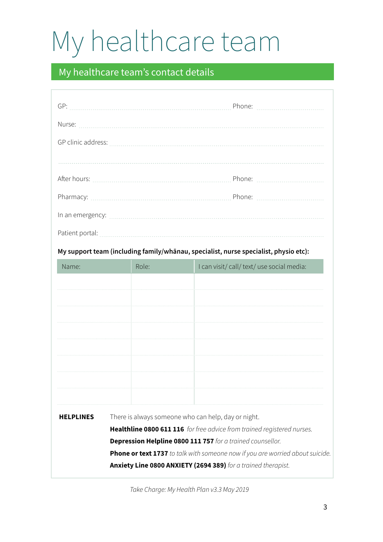## My healthcare team

### My healthcare team's contact details

|                  |                                                     | In an emergency: [11] an emergency:                                                  |
|------------------|-----------------------------------------------------|--------------------------------------------------------------------------------------|
|                  |                                                     |                                                                                      |
|                  |                                                     | My support team (including family/whānau, specialist, nurse specialist, physio etc): |
| Name:            | Role:                                               | I can visit/ call/ text/ use social media:                                           |
|                  |                                                     |                                                                                      |
|                  |                                                     |                                                                                      |
|                  |                                                     |                                                                                      |
|                  |                                                     |                                                                                      |
|                  |                                                     |                                                                                      |
|                  |                                                     |                                                                                      |
|                  |                                                     |                                                                                      |
| <b>HELPLINES</b> | There is always someone who can help, day or night. |                                                                                      |
|                  |                                                     | Healthline 0800 611 116 for free advice from trained registered nurses.              |
|                  |                                                     | Depression Helpline 0800 111 757 for a trained counsellor.                           |
|                  |                                                     | Phone or text 1737 to talk with someone now if you are worried about suicide.        |
|                  |                                                     | Anxiety Line 0800 ANXIETY (2694 389) for a trained therapist.                        |

*Take Charge: My Health Plan v3.3 May 2019*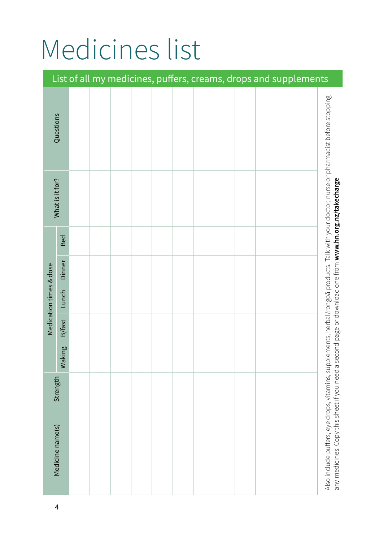### Medicines list

|                         |                  |  | List of all my medicines, puffers, creams, drops and supplements |  |  |  |  |                                                                                                                                                                                                                                                      |
|-------------------------|------------------|--|------------------------------------------------------------------|--|--|--|--|------------------------------------------------------------------------------------------------------------------------------------------------------------------------------------------------------------------------------------------------------|
|                         | Questions        |  |                                                                  |  |  |  |  |                                                                                                                                                                                                                                                      |
|                         | What is it for?  |  |                                                                  |  |  |  |  |                                                                                                                                                                                                                                                      |
|                         | Bed              |  |                                                                  |  |  |  |  |                                                                                                                                                                                                                                                      |
|                         | Dinner           |  |                                                                  |  |  |  |  |                                                                                                                                                                                                                                                      |
| Medication times & dose | Lunch            |  |                                                                  |  |  |  |  |                                                                                                                                                                                                                                                      |
|                         | B/fast           |  |                                                                  |  |  |  |  |                                                                                                                                                                                                                                                      |
|                         | Iking<br>Mal     |  |                                                                  |  |  |  |  |                                                                                                                                                                                                                                                      |
|                         | Strength         |  |                                                                  |  |  |  |  |                                                                                                                                                                                                                                                      |
|                         | Medicine name(s) |  |                                                                  |  |  |  |  | Also include puffers, eye drops, vitamins, supplements, herbal/rongoa products. Talk with your doctor, nurse or pharmacist before stopping<br>any medicines. Copy this sheet if you need a second page or download one from www.hn.org.nz/takecharge |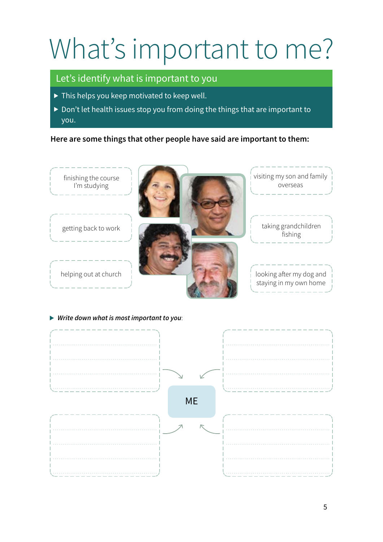## What's important to me?

#### Let's identify what is important to you

- $\triangleright$  This helps you keep motivated to keep well.
- Don't let health issues stop you from doing the things that are important to you.

#### **Here are some things that other people have said are important to them:**



*Write down what is most important to you*:

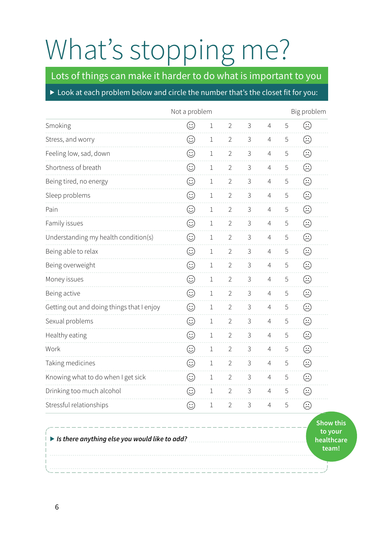## What's stopping me?

Lots of things can make it harder to do what is important to you

#### Look at each problem below and circle the number that's the closet fit for you:

|                                             | Not a problem |         |                |             |                 |             | Big problem                             |
|---------------------------------------------|---------------|---------|----------------|-------------|-----------------|-------------|-----------------------------------------|
| Smoking                                     | $\odot$       | $\,1$   | $\overline{2}$ | 3           | $\overline{4}$  | 5           | ☺                                       |
| Stress, and worry                           | $\odot$       | $\,1$   | $\overline{2}$ | $\mathsf 3$ | $\overline{4}$  | 5           | $\odot$                                 |
| Feeling low, sad, down                      | $\odot$       | 1       | $\overline{2}$ | 3           | $\overline{4}$  | 5           | $\odot$                                 |
| Shortness of breath                         | $\odot$       | $\,1$   | $\overline{2}$ | 3           | $\overline{4}$  | 5           | ☺                                       |
| Being tired, no energy                      | $\odot$       | $\!1$   | $\overline{2}$ | $\mathsf 3$ | $\overline{4}$  | 5           | $\odot$                                 |
| Sleep problems                              | $\odot$       | $\!1$   | $\overline{2}$ | 3           | $\overline{4}$  | 5           | $\odot$                                 |
| Pain                                        | $\odot$       | $\,1$   | $\overline{2}$ | 3           | $\overline{4}$  | 5           | $\odot$                                 |
| Family issues                               | $\odot$       | $\,1$   | $\overline{2}$ | 3           | $\overline{4}$  | 5           | $\odot$                                 |
| Understanding my health condition(s)        | $\odot$       | 1       | $\overline{2}$ | 3           | $\overline{4}$  | 5           | $\odot$                                 |
| Being able to relax                         | $\odot$       | $\,1$   | $\overline{2}$ | $\mathsf 3$ | $\overline{4}$  | $\mathsf S$ | $\odot$                                 |
| Being overweight                            | $\odot$       | $1\,$   | $\overline{2}$ | 3           | $\overline{4}$  | 5           | $\odot$                                 |
| Money issues                                | $\odot$       | $\,1$   | $\overline{2}$ | 3           | $\overline{4}$  | 5           | ☺                                       |
| Being active                                | $\odot$       | $\!1$   | $\overline{2}$ | 3           | $\overline{4}$  | 5           | $\odot$                                 |
| Getting out and doing things that I enjoy   | $\odot$       | 1       | $\overline{2}$ | 3           | $\overline{4}$  | 5           | $\odot$                                 |
| Sexual problems                             | $\odot$       | $\,1$   | $\overline{2}$ | $\mathsf 3$ | $\overline{4}$  | 5           | $\odot$                                 |
| Healthy eating                              | $\odot$       | $\,1$   | $\overline{2}$ | $\mathsf 3$ | $\overline{4}$  | 5           | $\odot$                                 |
| Work                                        | $\odot$       | $\!1$   | $\overline{2}$ | 3           | $\overline{4}$  | 5           | ☺                                       |
| Taking medicines                            | $\odot$       | $\,1$   | $\overline{2}$ | $\mathsf 3$ | $\overline{4}$  | 5           | $\odot$                                 |
| Knowing what to do when I get sick          | $\odot$       | 1       | $\overline{2}$ | 3           | 4               | 5           | $\odot$                                 |
| Drinking too much alcohol                   | $\odot$       | 1       | $\overline{2}$ | 3           | 4               | 5           | ☺                                       |
| Stressful relationships                     | $\odot$       | $\perp$ |                | $2 \t3$     | $4\overline{ }$ | 5           | $\odot$                                 |
| In the anything else you would like to add? |               |         |                |             |                 |             | Show th<br>to your<br>healthca<br>team! |

**s to your care**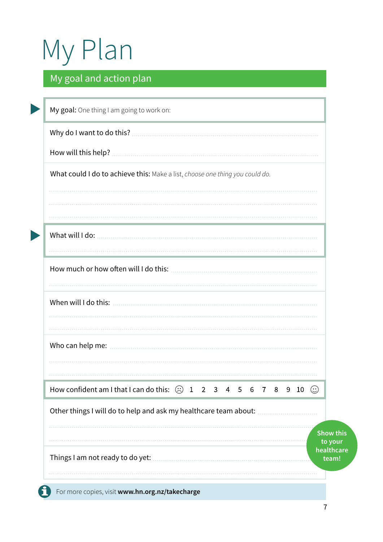# My Plan

### My goal and action plan

| How will this help?                                                                       |  |  |  |  |  |                  |
|-------------------------------------------------------------------------------------------|--|--|--|--|--|------------------|
| What could I do to achieve this: Make a list, choose one thing you could do.              |  |  |  |  |  |                  |
|                                                                                           |  |  |  |  |  |                  |
|                                                                                           |  |  |  |  |  |                  |
|                                                                                           |  |  |  |  |  |                  |
|                                                                                           |  |  |  |  |  |                  |
|                                                                                           |  |  |  |  |  |                  |
| How much or how often will I do this:                                                     |  |  |  |  |  |                  |
|                                                                                           |  |  |  |  |  |                  |
| When will I do this:                                                                      |  |  |  |  |  |                  |
|                                                                                           |  |  |  |  |  |                  |
|                                                                                           |  |  |  |  |  |                  |
| Who can help me:                                                                          |  |  |  |  |  |                  |
|                                                                                           |  |  |  |  |  |                  |
|                                                                                           |  |  |  |  |  |                  |
| How confident am I that I can do this: $\circledcirc$ 1 2 3 4 5 6 7 8 9 10 $\circledcirc$ |  |  |  |  |  |                  |
| Other things I will do to help and ask my healthcare team about:                          |  |  |  |  |  |                  |
|                                                                                           |  |  |  |  |  | <b>Show this</b> |
|                                                                                           |  |  |  |  |  | to your          |
|                                                                                           |  |  |  |  |  | healthcare       |
| Things I am not ready to do yet:                                                          |  |  |  |  |  | team!            |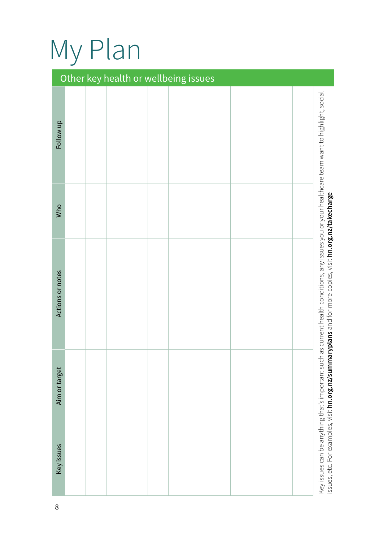## My Plan

|                  |  | Other key health or wellbeing issues |  |  |  |  |                                                                                                                                                                                                             |
|------------------|--|--------------------------------------|--|--|--|--|-------------------------------------------------------------------------------------------------------------------------------------------------------------------------------------------------------------|
| Follow up        |  |                                      |  |  |  |  |                                                                                                                                                                                                             |
| Who              |  |                                      |  |  |  |  |                                                                                                                                                                                                             |
| Actions or notes |  |                                      |  |  |  |  | Key issues can be anything that's important such as current health conditions, any issues you or your healthcare team want to highlight, social<br>aryplans and for more copies, visit hn.org.nz/takecharge |
| Aim or target    |  |                                      |  |  |  |  |                                                                                                                                                                                                             |
| Key issues       |  |                                      |  |  |  |  | issues, etc. For examples, visit hn.org.nz/summ                                                                                                                                                             |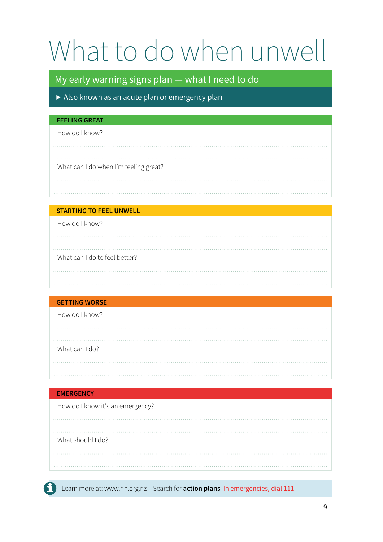## What to do when unwell

#### My early warning signs plan — what I need to do

Also known as an acute plan or emergency plan

#### **FEELING GREAT**

How do I know?

#### What can I do when I'm feeling great?

#### **STARTING TO FEEL UNWELL**

How do I know?

### What can I do to feel better?

#### **GETTING WORSE**

How do I know?

What can I do?

#### **EMERGENCY**

How do I know it's an emergency?

What should I do?

Learn more at: www.hn.org.nz – Search for **action plans**. In emergencies, dial 111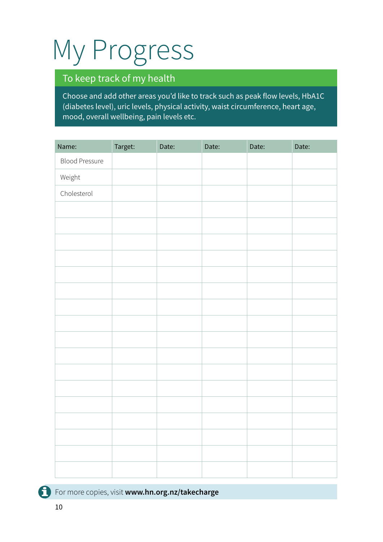## My Progress

### To keep track of my health

Choose and add other areas you'd like to track such as peak flow levels, HbA1C (diabetes level), uric levels, physical activity, waist circumference, heart age, mood, overall wellbeing, pain levels etc.

| Name:                 | Target: | Date: | Date: | Date: | Date: |
|-----------------------|---------|-------|-------|-------|-------|
| <b>Blood Pressure</b> |         |       |       |       |       |
| Weight                |         |       |       |       |       |
| Cholesterol           |         |       |       |       |       |
|                       |         |       |       |       |       |
|                       |         |       |       |       |       |
|                       |         |       |       |       |       |
|                       |         |       |       |       |       |
|                       |         |       |       |       |       |
|                       |         |       |       |       |       |
|                       |         |       |       |       |       |
|                       |         |       |       |       |       |
|                       |         |       |       |       |       |
|                       |         |       |       |       |       |
|                       |         |       |       |       |       |
|                       |         |       |       |       |       |
|                       |         |       |       |       |       |
|                       |         |       |       |       |       |
|                       |         |       |       |       |       |
|                       |         |       |       |       |       |
|                       |         |       |       |       |       |

For more copies, visit **www.hn.org.nz/takecharge**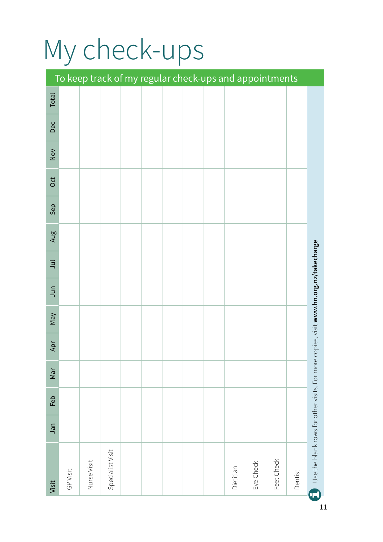# My check-ups

|                                             |          |             |                  |  |  |           |           | To keep track of my regular check-ups and appointments |         |                                               |
|---------------------------------------------|----------|-------------|------------------|--|--|-----------|-----------|--------------------------------------------------------|---------|-----------------------------------------------|
| Total                                       |          |             |                  |  |  |           |           |                                                        |         |                                               |
| Dec                                         |          |             |                  |  |  |           |           |                                                        |         |                                               |
| $\stackrel{\textstyle\sim}{\textstyle\sim}$ |          |             |                  |  |  |           |           |                                                        |         |                                               |
| Oct                                         |          |             |                  |  |  |           |           |                                                        |         |                                               |
| Sep                                         |          |             |                  |  |  |           |           |                                                        |         |                                               |
| Aug                                         |          |             |                  |  |  |           |           |                                                        |         |                                               |
| $\Xi$                                       |          |             |                  |  |  |           |           |                                                        |         | copies, visit www.hn.org.nz/takecharge        |
| Jun                                         |          |             |                  |  |  |           |           |                                                        |         |                                               |
| VeW                                         |          |             |                  |  |  |           |           |                                                        |         |                                               |
| Apr                                         |          |             |                  |  |  |           |           |                                                        |         |                                               |
| Nar                                         |          |             |                  |  |  |           |           |                                                        |         |                                               |
| Feb                                         |          |             |                  |  |  |           |           |                                                        |         |                                               |
| Jan                                         |          |             |                  |  |  |           |           |                                                        |         |                                               |
| Visit                                       | GP Visit | Nurse Visit | Specialist Visit |  |  | Dietitian | Eye Check | Feet Check                                             | Dentist | Use the blank rows for other visits. For more |